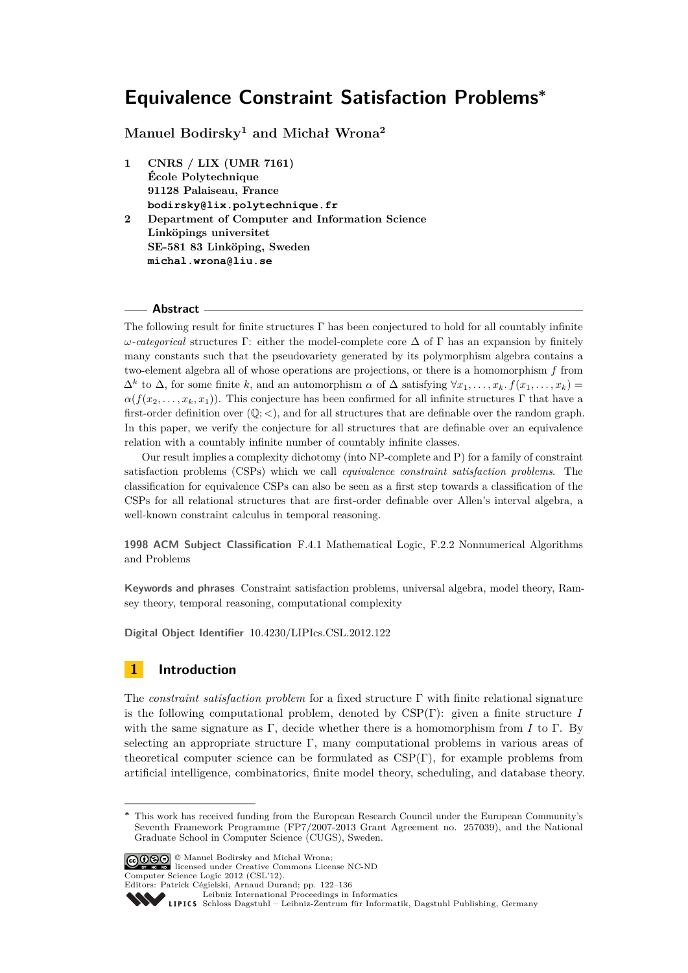**Manuel Bodirsky<sup>1</sup> and Michał Wrona<sup>2</sup>**

**1 CNRS / LIX (UMR 7161) École Polytechnique 91128 Palaiseau, France bodirsky@lix.polytechnique.fr 2 Department of Computer and Information Science Linköpings universitet SE-581 83 Linköping, Sweden michal.wrona@liu.se**

# **Abstract**

The following result for finite structures  $\Gamma$  has been conjectured to hold for all countably infinite *ω-categorical* structures Γ: either the model-complete core ∆ of Γ has an expansion by finitely many constants such that the pseudovariety generated by its polymorphism algebra contains a two-element algebra all of whose operations are projections, or there is a homomorphism *f* from  $\Delta^k$  to  $\Delta$ , for some finite *k*, and an automorphism  $\alpha$  of  $\Delta$  satisfying  $\forall x_1, \ldots, x_k$ ,  $f(x_1, \ldots, x_k)$  $\alpha(f(x_2, \ldots, x_k, x_1))$ . This conjecture has been confirmed for all infinite structures Γ that have a first-order definition over  $(\mathbb{Q}; <)$ , and for all structures that are definable over the random graph. In this paper, we verify the conjecture for all structures that are definable over an equivalence relation with a countably infinite number of countably infinite classes.

Our result implies a complexity dichotomy (into NP-complete and P) for a family of constraint satisfaction problems (CSPs) which we call *equivalence constraint satisfaction problems*. The classification for equivalence CSPs can also be seen as a first step towards a classification of the CSPs for all relational structures that are first-order definable over Allen's interval algebra, a well-known constraint calculus in temporal reasoning.

**1998 ACM Subject Classification** F.4.1 Mathematical Logic, F.2.2 Nonnumerical Algorithms and Problems

**Keywords and phrases** Constraint satisfaction problems, universal algebra, model theory, Ramsey theory, temporal reasoning, computational complexity

**Digital Object Identifier** [10.4230/LIPIcs.CSL.2012.122](http://dx.doi.org/10.4230/LIPIcs.CSL.2012.122)

# **1 Introduction**

The *constraint satisfaction problem* for a fixed structure Γ with finite relational signature is the following computational problem, denoted by CSP(Γ): given a finite structure *I* with the same signature as  $\Gamma$ , decide whether there is a homomorphism from *I* to  $\Gamma$ . By selecting an appropriate structure  $\Gamma$ , many computational problems in various areas of theoretical computer science can be formulated as  $CSP(\Gamma)$ , for example problems from artificial intelligence, combinatorics, finite model theory, scheduling, and database theory.

© Manuel Bodirsky and Michał Wrona; licensed under Creative Commons License NC-ND Computer Science Logic 2012 (CSL'12).

Editors: Patrick Cégielski, Arnaud Durand; pp. 122[–136](#page-14-0) [Leibniz International Proceedings in Informatics](http://www.dagstuhl.de/lipics/)

Leibniz international Froceedings in informatik, Dagstuhl Publishing, Germany<br>LIPICS [Schloss Dagstuhl – Leibniz-Zentrum für Informatik, Dagstuhl Publishing, Germany](http://www.dagstuhl.de)

**<sup>∗</sup>** This work has received funding from the European Research Council under the European Community's Seventh Framework Programme (FP7/2007-2013 Grant Agreement no. 257039), and the National Graduate School in Computer Science (CUGS), Sweden.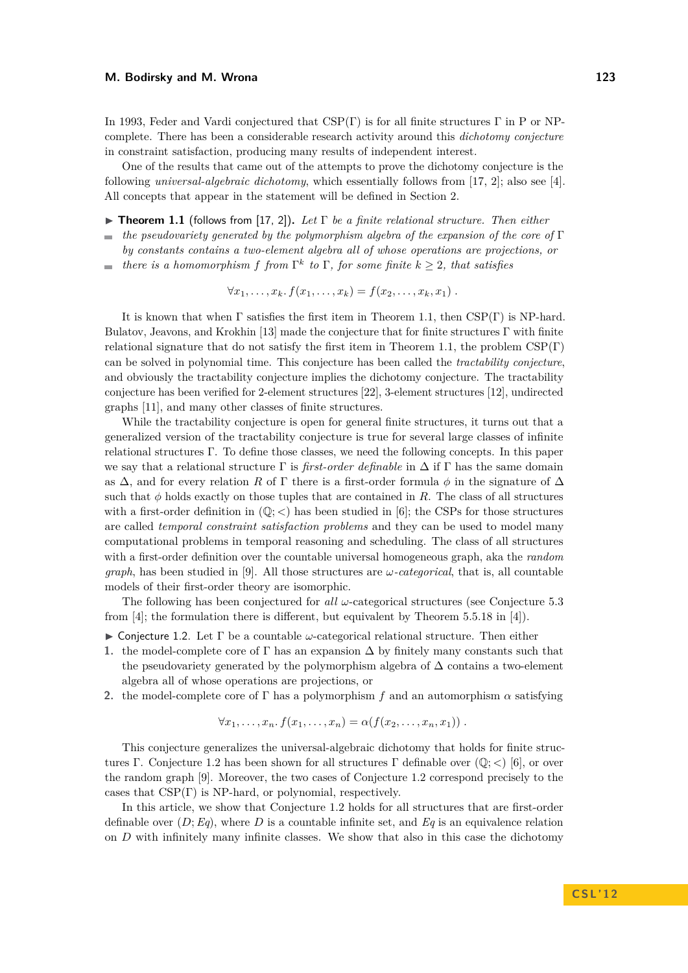In 1993, Feder and Vardi conjectured that CSP(Γ) is for all finite structures Γ in P or NPcomplete. There has been a considerable research activity around this *dichotomy conjecture* in constraint satisfaction, producing many results of independent interest.

One of the results that came out of the attempts to prove the dichotomy conjecture is the following *universal-algebraic dichotomy*, which essentially follows from [\[17,](#page-14-1) [2\]](#page-13-0); also see [\[4\]](#page-14-2). All concepts that appear in the statement will be defined in Section [2.](#page-3-0)

- <span id="page-1-0"></span>I **Theorem 1.1** (follows from [\[17,](#page-14-1) [2\]](#page-13-0))**.** *Let* Γ *be a finite relational structure. Then either*
- *the pseudovariety generated by the polymorphism algebra of the expansion of the core of* Γ *by constants contains a two-element algebra all of whose operations are projections, or*
- *there is a homomorphism f from*  $\Gamma^k$  *to*  $\Gamma$ *, for some finite*  $k \geq 2$ *, that satisfies*  $\sim$

$$
\forall x_1,\ldots,x_k. f(x_1,\ldots,x_k)=f(x_2,\ldots,x_k,x_1) .
$$

It is known that when  $\Gamma$  satisfies the first item in Theorem [1.1,](#page-1-0) then  $CSP(\Gamma)$  is NP-hard. Bulatov, Jeavons, and Krokhin [\[13\]](#page-14-3) made the conjecture that for finite structures  $\Gamma$  with finite relational signature that do not satisfy the first item in Theorem [1.1,](#page-1-0) the problem  $CSP(\Gamma)$ can be solved in polynomial time. This conjecture has been called the *tractability conjecture*, and obviously the tractability conjecture implies the dichotomy conjecture. The tractability conjecture has been verified for 2-element structures [\[22\]](#page-14-4), 3-element structures [\[12\]](#page-14-5), undirected graphs [\[11\]](#page-14-6), and many other classes of finite structures.

While the tractability conjecture is open for general finite structures, it turns out that a generalized version of the tractability conjecture is true for several large classes of infinite relational structures Γ. To define those classes, we need the following concepts. In this paper we say that a relational structure  $\Gamma$  is *first-order definable* in  $\Delta$  if  $\Gamma$  has the same domain as  $\Delta$ , and for every relation *R* of  $\Gamma$  there is a first-order formula  $\phi$  in the signature of  $\Delta$ such that  $\phi$  holds exactly on those tuples that are contained in *R*. The class of all structures with a first-order definition in  $(\mathbb{Q};<)$  has been studied in [\[6\]](#page-14-7); the CSPs for those structures are called *temporal constraint satisfaction problems* and they can be used to model many computational problems in temporal reasoning and scheduling. The class of all structures with a first-order definition over the countable universal homogeneous graph, aka the *random graph*, has been studied in [\[9\]](#page-14-8). All those structures are *ω-categorical*, that is, all countable models of their first-order theory are isomorphic.

The following has been conjectured for *all ω*-categorical structures (see Conjecture 5.3 from [\[4\]](#page-14-2); the formulation there is different, but equivalent by Theorem 5.5.18 in [\[4\]](#page-14-2)).

- <span id="page-1-1"></span>I Conjecture 1.2. Let Γ be a countable *ω*-categorical relational structure. Then either
- <span id="page-1-2"></span>1. the model-complete core of  $\Gamma$  has an expansion  $\Delta$  by finitely many constants such that the pseudovariety generated by the polymorphism algebra of  $\Delta$  contains a two-element algebra all of whose operations are projections, or
- <span id="page-1-3"></span>**2.** the model-complete core of Γ has a polymorphism *f* and an automorphism  $\alpha$  satisfying

$$
\forall x_1, \ldots, x_n \ldotp f(x_1, \ldots, x_n) = \alpha(f(x_2, \ldots, x_n, x_1)) \ldotp
$$

This conjecture generalizes the universal-algebraic dichotomy that holds for finite structures Γ. Conjecture [1.2](#page-1-1) has been shown for all structures Γ definable over (Q; *<*) [\[6\]](#page-14-7), or over the random graph [\[9\]](#page-14-8). Moreover, the two cases of Conjecture [1.2](#page-1-1) correspond precisely to the cases that  $CSP(\Gamma)$  is NP-hard, or polynomial, respectively.

In this article, we show that Conjecture [1.2](#page-1-1) holds for all structures that are first-order definable over  $(D; Eq)$ , where *D* is a countable infinite set, and *Eq* is an equivalence relation on *D* with infinitely many infinite classes. We show that also in this case the dichotomy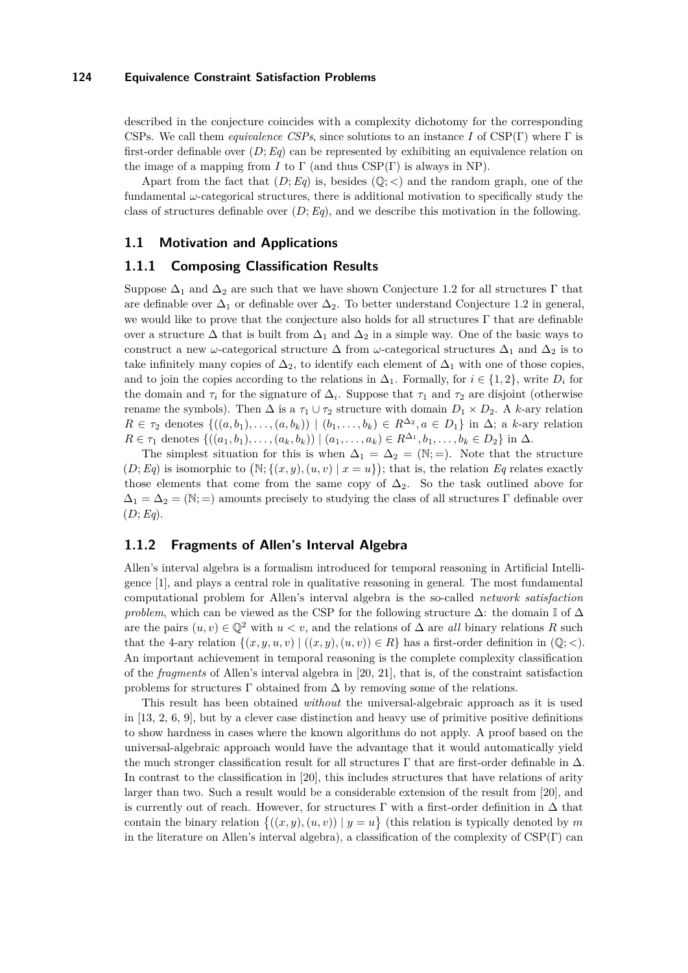described in the conjecture coincides with a complexity dichotomy for the corresponding CSPs. We call them *equivalence CSPs*, since solutions to an instance *I* of CSP(Γ) where Γ is first-order definable over  $(D; Eq)$  can be represented by exhibiting an equivalence relation on the image of a mapping from *I* to  $\Gamma$  (and thus CSP( $\Gamma$ ) is always in NP).

Apart from the fact that  $(D; Eq)$  is, besides  $(\mathbb{Q}; <)$  and the random graph, one of the fundamental *ω*-categorical structures, there is additional motivation to specifically study the class of structures definable over (*D*;*Eq*), and we describe this motivation in the following.

# <span id="page-2-0"></span>**1.1 Motivation and Applications**

## **1.1.1 Composing Classification Results**

Suppose  $\Delta_1$  and  $\Delta_2$  are such that we have shown Conjecture [1.2](#page-1-1) for all structures Γ that are definable over  $\Delta_1$  or definable over  $\Delta_2$ . To better understand Conjecture [1.2](#page-1-1) in general, we would like to prove that the conjecture also holds for all structures  $\Gamma$  that are definable over a structure  $\Delta$  that is built from  $\Delta_1$  and  $\Delta_2$  in a simple way. One of the basic ways to construct a new *ω*-categorical structure  $\Delta$  from *ω*-categorical structures  $\Delta_1$  and  $\Delta_2$  is to take infinitely many copies of  $\Delta_2$ , to identify each element of  $\Delta_1$  with one of those copies, and to join the copies according to the relations in  $\Delta_1$ . Formally, for  $i \in \{1, 2\}$ , write  $D_i$  for the domain and  $\tau_i$  for the signature of  $\Delta_i$ . Suppose that  $\tau_1$  and  $\tau_2$  are disjoint (otherwise rename the symbols). Then  $\Delta$  is a  $\tau_1 \cup \tau_2$  structure with domain  $D_1 \times D_2$ . A *k*-ary relation  $R \in \tau_2$  denotes  $\{((a, b_1), \ldots, (a, b_k)) \mid (b_1, \ldots, b_k) \in R^{\Delta_2}, a \in D_1\}$  in  $\Delta$ ; a *k*-ary relation  $R \in \tau_1$  denotes  $\{((a_1, b_1), \ldots, (a_k, b_k)) \mid (a_1, \ldots, a_k) \in R^{\Delta_1}, b_1, \ldots, b_k \in D_2\}$  in  $\Delta$ .

The simplest situation for this is when  $\Delta_1 = \Delta_2 = (\mathbb{N};=)$ . Note that the structure  $(D; Eq)$  is isomorphic to  $(N; \{(x, y), (u, v) \mid x = u\})$ ; that is, the relation *Eq* relates exactly those elements that come from the same copy of  $\Delta_2$ . So the task outlined above for  $\Delta_1 = \Delta_2 = (\mathbb{N}; =)$  amounts precisely to studying the class of all structures Γ definable over (*D*;*Eq*).

# **1.1.2 Fragments of Allen's Interval Algebra**

Allen's interval algebra is a formalism introduced for temporal reasoning in Artificial Intelligence [\[1\]](#page-13-1), and plays a central role in qualitative reasoning in general. The most fundamental computational problem for Allen's interval algebra is the so-called *network satisfaction problem*, which can be viewed as the CSP for the following structure  $\Delta$ : the domain I of  $\Delta$ are the pairs  $(u, v) \in \mathbb{Q}^2$  with  $u < v$ , and the relations of  $\Delta$  are *all* binary relations R such that the 4-ary relation  $\{(x, y, u, v) \mid ((x, y), (u, v)) \in R\}$  has a first-order definition in  $(\mathbb{Q}; <)$ . An important achievement in temporal reasoning is the complete complexity classification of the *fragments* of Allen's interval algebra in [\[20,](#page-14-9) [21\]](#page-14-10), that is, of the constraint satisfaction problems for structures  $\Gamma$  obtained from  $\Delta$  by removing some of the relations.

This result has been obtained *without* the universal-algebraic approach as it is used in  $[13, 2, 6, 9]$  $[13, 2, 6, 9]$  $[13, 2, 6, 9]$  $[13, 2, 6, 9]$  $[13, 2, 6, 9]$  $[13, 2, 6, 9]$  $[13, 2, 6, 9]$ , but by a clever case distinction and heavy use of primitive positive definitions to show hardness in cases where the known algorithms do not apply. A proof based on the universal-algebraic approach would have the advantage that it would automatically yield the much stronger classification result for all structures  $\Gamma$  that are first-order definable in  $\Delta$ . In contrast to the classification in [\[20\]](#page-14-9), this includes structures that have relations of arity larger than two. Such a result would be a considerable extension of the result from [\[20\]](#page-14-9), and is currently out of reach. However, for structures  $\Gamma$  with a first-order definition in  $\Delta$  that contain the binary relation  $\{(x, y), (u, v)) \mid y = u\}$  (this relation is typically denoted by *m* in the literature on Allen's interval algebra), a classification of the complexity of  $CSP(\Gamma)$  can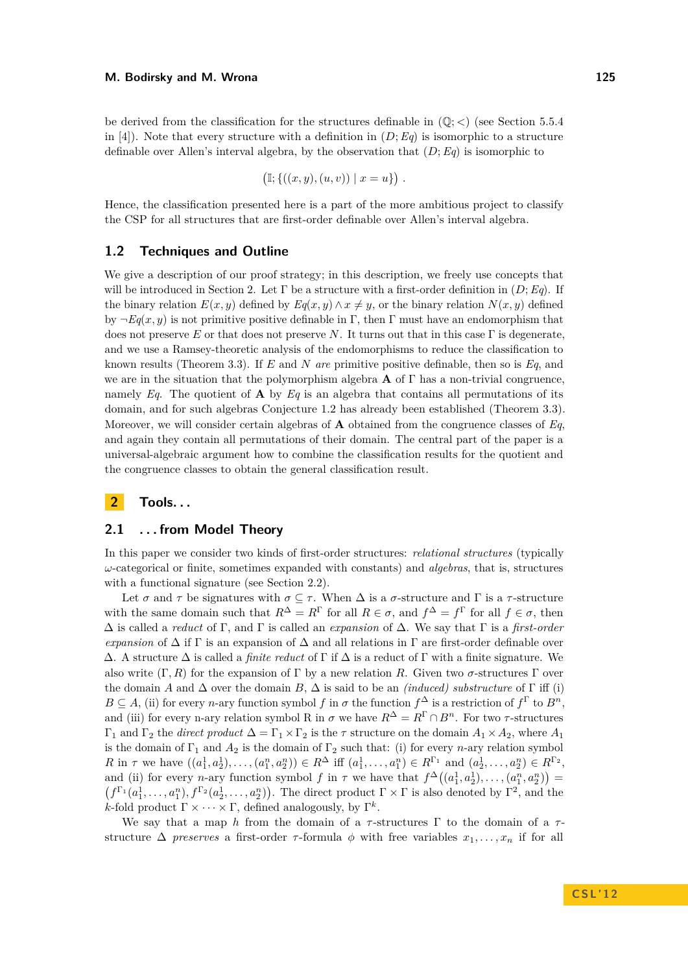be derived from the classification for the structures definable in  $(\mathbb{Q}; <)$  (see Section 5.5.4) in [\[4\]](#page-14-2)). Note that every structure with a definition in  $(D; Eq)$  is isomorphic to a structure definable over Allen's interval algebra, by the observation that (*D*;*Eq*) is isomorphic to

$$
(\mathbb{I}; \{((x, y), (u, v)) \mid x = u\}) .
$$

Hence, the classification presented here is a part of the more ambitious project to classify the CSP for all structures that are first-order definable over Allen's interval algebra.

### **1.2 Techniques and Outline**

We give a description of our proof strategy; in this description, we freely use concepts that will be introduced in Section [2.](#page-3-0) Let  $\Gamma$  be a structure with a first-order definition in  $(D; Eq)$ . If the binary relation  $E(x, y)$  defined by  $Eq(x, y) \wedge x \neq y$ , or the binary relation  $N(x, y)$  defined by  $\neg E_q(x, y)$  is not primitive positive definable in Γ, then Γ must have an endomorphism that does not preserve *E* or that does not preserve *N*. It turns out that in this case Γ is degenerate, and we use a Ramsey-theoretic analysis of the endomorphisms to reduce the classification to known results (Theorem [3.3\)](#page-7-0). If *E* and *N are* primitive positive definable, then so is *Eq*, and we are in the situation that the polymorphism algebra **A** of  $\Gamma$  has a non-trivial congruence, namely *Eq*. The quotient of **A** by *Eq* is an algebra that contains all permutations of its domain, and for such algebras Conjecture [1.2](#page-1-1) has already been established (Theorem [3.3\)](#page-7-0). Moreover, we will consider certain algebras of **A** obtained from the congruence classes of *Eq*, and again they contain all permutations of their domain. The central part of the paper is a universal-algebraic argument how to combine the classification results for the quotient and the congruence classes to obtain the general classification result.

# <span id="page-3-0"></span>**2 Tools. . .**

### **2.1 . . . from Model Theory**

In this paper we consider two kinds of first-order structures: *relational structures* (typically *ω*-categorical or finite, sometimes expanded with constants) and *algebras*, that is, structures with a functional signature (see Section [2.2\)](#page-4-0).

Let  $\sigma$  and  $\tau$  be signatures with  $\sigma \subseteq \tau$ . When  $\Delta$  is a  $\sigma$ -structure and  $\Gamma$  is a  $\tau$ -structure with the same domain such that  $R^{\Delta} = R^{\Gamma}$  for all  $R \in \sigma$ , and  $f^{\Delta} = f^{\Gamma}$  for all  $f \in \sigma$ , then ∆ is called a *reduct* of Γ, and Γ is called an *expansion* of ∆. We say that Γ is a *first-order expansion* of  $\Delta$  if  $\Gamma$  is an expansion of  $\Delta$  and all relations in  $\Gamma$  are first-order definable over  $\Delta$ . A structure  $\Delta$  is called a *finite reduct* of  $\Gamma$  if  $\Delta$  is a reduct of  $\Gamma$  with a finite signature. We also write  $(\Gamma, R)$  for the expansion of  $\Gamma$  by a new relation R. Given two  $\sigma$ -structures  $\Gamma$  over the domain *A* and  $\Delta$  over the domain *B*,  $\Delta$  is said to be an *(induced) substructure* of  $\Gamma$  iff (i)  $B \subseteq A$ , (ii) for every *n*-ary function symbol *f* in  $\sigma$  the function  $f^{\Delta}$  is a restriction of  $f^{\Gamma}$  to  $B^n$ , and (iii) for every n-ary relation symbol R in  $\sigma$  we have  $R^{\Delta} = R^{\Gamma} \cap B^n$ . For two  $\tau$ -structures Γ<sup>1</sup> and Γ<sup>2</sup> the *direct product* ∆ = Γ<sup>1</sup> ×Γ<sup>2</sup> is the *τ* structure on the domain *A*<sup>1</sup> ×*A*2, where *A*<sup>1</sup> is the domain of  $\Gamma_1$  and  $A_2$  is the domain of  $\Gamma_2$  such that: (i) for every *n*-ary relation symbol R in  $\tau$  we have  $((a_1^1, a_2^1), \ldots, (a_1^n, a_2^n)) \in R^{\Delta}$  iff  $(a_1^1, \ldots, a_1^n) \in R^{\Gamma_1}$  and  $(a_2^1, \ldots, a_2^n) \in R^{\Gamma_2}$ , and (ii) for every *n*-ary function symbol *f* in  $\tau$  we have that  $f^{\Delta}((a_1^1, a_2^1), \ldots, (a_1^n, a_2^n))$  $(f^{\Gamma_1}(a_1^1,\ldots,a_1^n),f^{\Gamma_2}(a_2^1,\ldots,a_2^n))$ . The direct product  $\Gamma\times\Gamma$  is also denoted by  $\Gamma^2$ , and the *k*-fold product  $\Gamma \times \cdots \times \Gamma$ , defined analogously, by  $\Gamma^k$ .

We say that a map *h* from the domain of a  $\tau$ -structures  $\Gamma$  to the domain of a  $\tau$ structure  $\Delta$  *preserves* a first-order *τ*-formula  $\phi$  with free variables  $x_1, \ldots, x_n$  if for all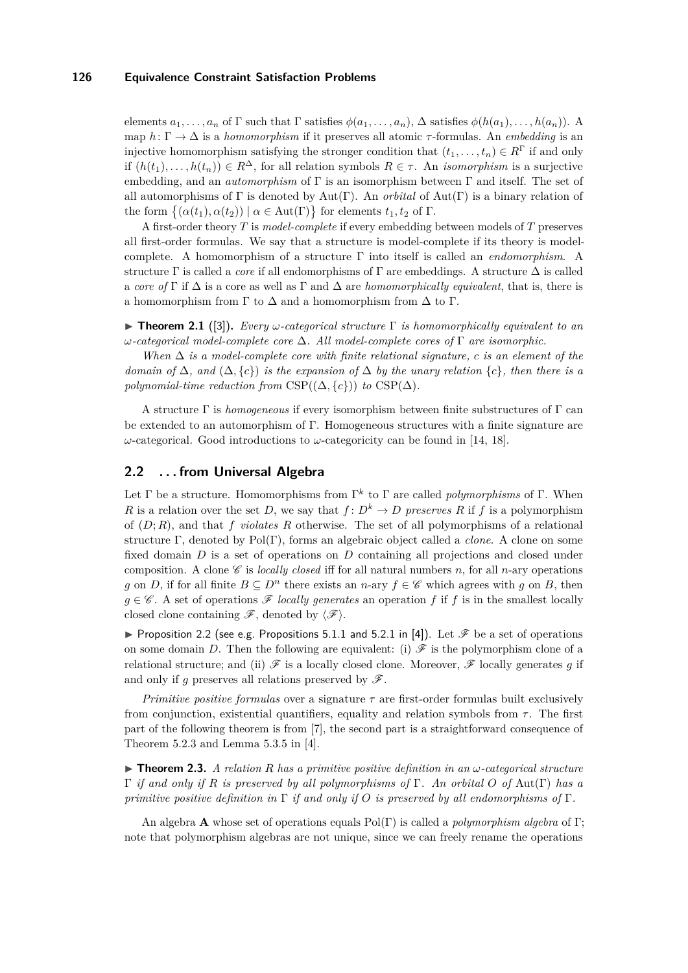elements  $a_1, \ldots, a_n$  of  $\Gamma$  such that  $\Gamma$  satisfies  $\phi(a_1, \ldots, a_n)$ ,  $\Delta$  satisfies  $\phi(h(a_1), \ldots, h(a_n))$ . map  $h: \Gamma \to \Delta$  is a *homomorphism* if it preserves all atomic  $\tau$ -formulas. An *embedding* is an injective homomorphism satisfying the stronger condition that  $(t_1, \ldots, t_n) \in R^{\Gamma}$  if and only if  $(h(t_1),...,h(t_n)) \in R^{\Delta}$ , for all relation symbols  $R \in \tau$ . An *isomorphism* is a surjective embedding, and an *automorphism* of Γ is an isomorphism between Γ and itself. The set of all automorphisms of Γ is denoted by Aut(Γ). An *orbital* of Aut(Γ) is a binary relation of the form  $\{(\alpha(t_1), \alpha(t_2)) \mid \alpha \in \text{Aut}(\Gamma)\}\$ for elements  $t_1, t_2$  of  $\Gamma$ .

A first-order theory *T* is *model-complete* if every embedding between models of *T* preserves all first-order formulas. We say that a structure is model-complete if its theory is modelcomplete. A homomorphism of a structure Γ into itself is called an *endomorphism*. A structure Γ is called a *core* if all endomorphisms of Γ are embeddings. A structure ∆ is called a *core of*  $\Gamma$  if  $\Delta$  is a core as well as  $\Gamma$  and  $\Delta$  are *homomorphically equivalent*, that is, there is a homomorphism from  $\Gamma$  to  $\Delta$  and a homomorphism from  $\Delta$  to  $\Gamma$ .

<span id="page-4-3"></span>**Figure 1.1** ([\[3\]](#page-14-11)). *Every*  $\omega$ -categorical structure  $\Gamma$  is homomorphically equivalent to an *ω-categorical model-complete core* ∆*. All model-complete cores of* Γ *are isomorphic.*

*When* ∆ *is a model-complete core with finite relational signature, c is an element of the domain of*  $\Delta$ *, and*  $(\Delta, \{c\})$  *is the expansion of*  $\Delta$  *by the unary relation*  $\{c\}$ *, then there is a polynomial-time reduction from*  $CSP((\Delta, \{c\}))$  *to*  $CSP(\Delta)$ *.* 

A structure Γ is *homogeneous* if every isomorphism between finite substructures of Γ can be extended to an automorphism of Γ. Homogeneous structures with a finite signature are *ω*-categorical. Good introductions to *ω*-categoricity can be found in [\[14,](#page-14-12) [18\]](#page-14-13).

### <span id="page-4-0"></span>**2.2 . . . from Universal Algebra**

Let  $\Gamma$  be a structure. Homomorphisms from  $\Gamma^k$  to  $\Gamma$  are called *polymorphisms* of  $\Gamma$ . When *R* is a relation over the set *D*, we say that  $f: D^k \to D$  preserves R if f is a polymorphism of (*D*; *R*), and that *f violates R* otherwise. The set of all polymorphisms of a relational structure Γ, denoted by Pol(Γ), forms an algebraic object called a *clone*. A clone on some fixed domain *D* is a set of operations on *D* containing all projections and closed under composition. A clone  $\mathscr C$  is *locally closed* iff for all natural numbers *n*, for all *n*-ary operations *g* on *D*, if for all finite  $B \subseteq D^n$  there exists an *n*-ary  $f \in \mathscr{C}$  which agrees with *g* on *B*, then  $g \in \mathscr{C}$ . A set of operations  $\mathscr{F}$  *locally generates* an operation *f* if *f* is in the smallest locally closed clone containing  $\mathscr{F}$ , denoted by  $\langle \mathscr{F} \rangle$ .

<span id="page-4-1"></span>**Proposition 2.2 (see e.g. Propositions 5.1.1 and 5.2.1 in [\[4\]](#page-14-2)).** Let  $\mathscr{F}$  be a set of operations on some domain *D*. Then the following are equivalent: (i)  $\mathscr F$  is the polymorphism clone of a relational structure; and (ii)  $\mathscr F$  is a locally closed clone. Moreover,  $\mathscr F$  locally generates q if and only if *q* preserves all relations preserved by  $\mathscr{F}$ .

*Primitive positive formulas* over a signature *τ* are first-order formulas built exclusively from conjunction, existential quantifiers, equality and relation symbols from  $\tau$ . The first part of the following theorem is from [\[7\]](#page-14-14), the second part is a straightforward consequence of Theorem 5.2.3 and Lemma 5.3.5 in [\[4\]](#page-14-2).

<span id="page-4-2"></span> $\triangleright$  **Theorem 2.3.** *A relation R has a primitive positive definition in an*  $\omega$ -categorical structure Γ *if and only if R is preserved by all polymorphisms of* Γ*. An orbital O of* Aut(Γ) *has a primitive positive definition in* Γ *if and only if O is preserved by all endomorphisms of* Γ*.*

An algebra **A** whose set of operations equals Pol(Γ) is called a *polymorphism algebra* of Γ; note that polymorphism algebras are not unique, since we can freely rename the operations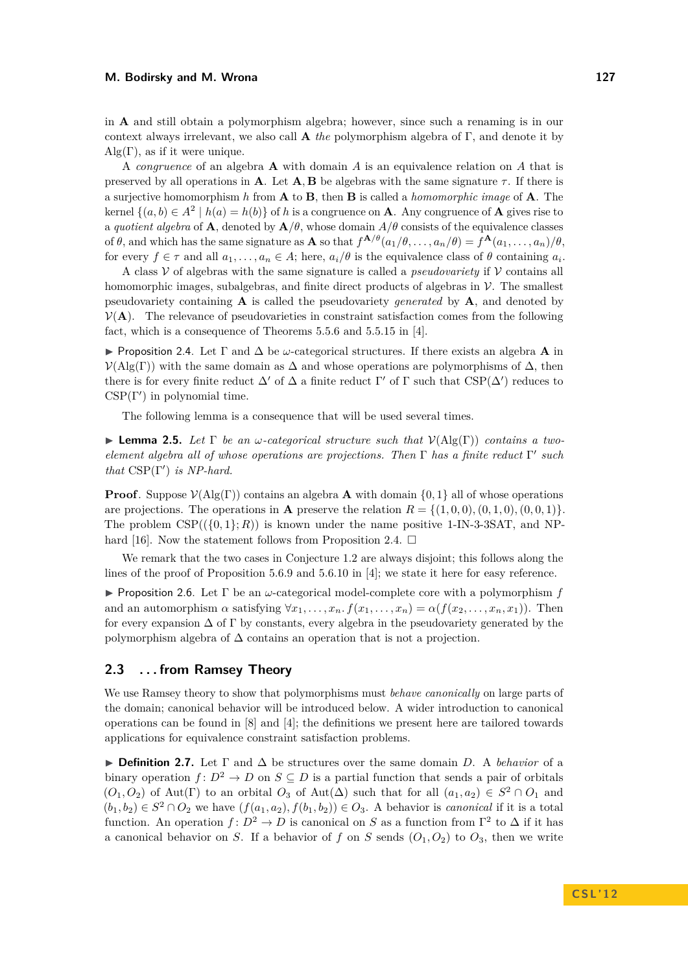in **A** and still obtain a polymorphism algebra; however, since such a renaming is in our context always irrelevant, we also call **A** *the* polymorphism algebra of Γ, and denote it by  $\text{Alg}(\Gamma)$ , as if it were unique.

A *congruence* of an algebra **A** with domain *A* is an equivalence relation on *A* that is preserved by all operations in **A**. Let **A**, **B** be algebras with the same signature  $\tau$ . If there is a surjective homomorphism *h* from **A** to **B**, then **B** is called a *homomorphic image* of **A**. The kernel  $\{(a, b) \in A^2 \mid h(a) = h(b)\}$  of *h* is a congruence on **A**. Any congruence of **A** gives rise to a *quotient algebra* of **A**, denoted by  $\mathbf{A}/\theta$ , whose domain  $A/\theta$  consists of the equivalence classes of  $\theta$ , and which has the same signature as **A** so that  $f^{\mathbf{A}/\theta}(a_1/\theta,\ldots,a_n/\theta) = f^{\mathbf{A}}(a_1,\ldots,a_n)/\theta$ , for every  $f \in \tau$  and all  $a_1, \ldots, a_n \in A$ ; here,  $a_i/\theta$  is the equivalence class of  $\theta$  containing  $a_i$ .

A class  $V$  of algebras with the same signature is called a *pseudovariety* if  $V$  contains all homomorphic images, subalgebras, and finite direct products of algebras in  $\mathcal V$ . The smallest pseudovariety containing **A** is called the pseudovariety *generated* by **A**, and denoted by  $V(A)$ . The relevance of pseudovarieties in constraint satisfaction comes from the following fact, which is a consequence of Theorems 5.5.6 and 5.5.15 in [\[4\]](#page-14-2).

<span id="page-5-0"></span>I Proposition 2.4. Let Γ and ∆ be *ω*-categorical structures. If there exists an algebra **A** in  $V(\text{Alg}(\Gamma))$  with the same domain as  $\Delta$  and whose operations are polymorphisms of  $\Delta$ , then there is for every finite reduct  $\Delta'$  of  $\Delta$  a finite reduct  $\Gamma'$  of  $\Gamma$  such that  $CSP(\Delta')$  reduces to  $CSP(\Gamma')$  in polynomial time.

The following lemma is a consequence that will be used several times.

<span id="page-5-1"></span>**Lemma 2.5.** Let  $\Gamma$  be an *ω*-categorical structure such that  $V(\text{Alg}(\Gamma))$  contains a two*element algebra all of whose operations are projections. Then* Γ *has a finite reduct* Γ 0 *such that*  $CSP(\Gamma')$  *is NP-hard.* 

**Proof**. Suppose  $V(\text{Alg}(\Gamma))$  contains an algebra **A** with domain  $\{0,1\}$  all of whose operations are projections. The operations in **A** preserve the relation  $R = \{(1,0,0), (0,1,0), (0,0,1)\}.$ The problem  $CSP((0,1); R)$ ) is known under the name positive 1-IN-3-3SAT, and NP-hard [\[16\]](#page-14-15). Now the statement follows from Proposition [2.4.](#page-5-0)  $\Box$ 

We remark that the two cases in Conjecture [1.2](#page-1-1) are always disjoint; this follows along the lines of the proof of Proposition 5.6.9 and 5.6.10 in [\[4\]](#page-14-2); we state it here for easy reference.

<span id="page-5-2"></span>**Proposition 2.6.** Let  $\Gamma$  be an *ω*-categorical model-complete core with a polymorphism *f* and an automorphism  $\alpha$  satisfying  $\forall x_1, \ldots, x_n$ .  $f(x_1, \ldots, x_n) = \alpha(f(x_2, \ldots, x_n, x_1))$ . Then for every expansion  $\Delta$  of  $\Gamma$  by constants, every algebra in the pseudovariety generated by the polymorphism algebra of  $\Delta$  contains an operation that is not a projection.

### **2.3 . . . from Ramsey Theory**

We use Ramsey theory to show that polymorphisms must *behave canonically* on large parts of the domain; canonical behavior will be introduced below. A wider introduction to canonical operations can be found in [\[8\]](#page-14-16) and [\[4\]](#page-14-2); the definitions we present here are tailored towards applications for equivalence constraint satisfaction problems.

I **Definition 2.7.** Let Γ and ∆ be structures over the same domain *D*. A *behavior* of a binary operation  $f: D^2 \to D$  on  $S \subseteq D$  is a partial function that sends a pair of orbitals  $(O_1, O_2)$  of Aut(Γ) to an orbital  $O_3$  of Aut( $\Delta$ ) such that for all  $(a_1, a_2) \in S^2 \cap O_1$  and  $(b_1, b_2) \in S^2 \cap O_2$  we have  $(f(a_1, a_2), f(b_1, b_2)) \in O_3$ . A behavior is *canonical* if it is a total function. An operation  $f: D^2 \to D$  is canonical on *S* as a function from  $\Gamma^2$  to  $\Delta$  if it has a canonical behavior on *S*. If a behavior of *f* on *S* sends  $(O_1, O_2)$  to  $O_3$ , then we write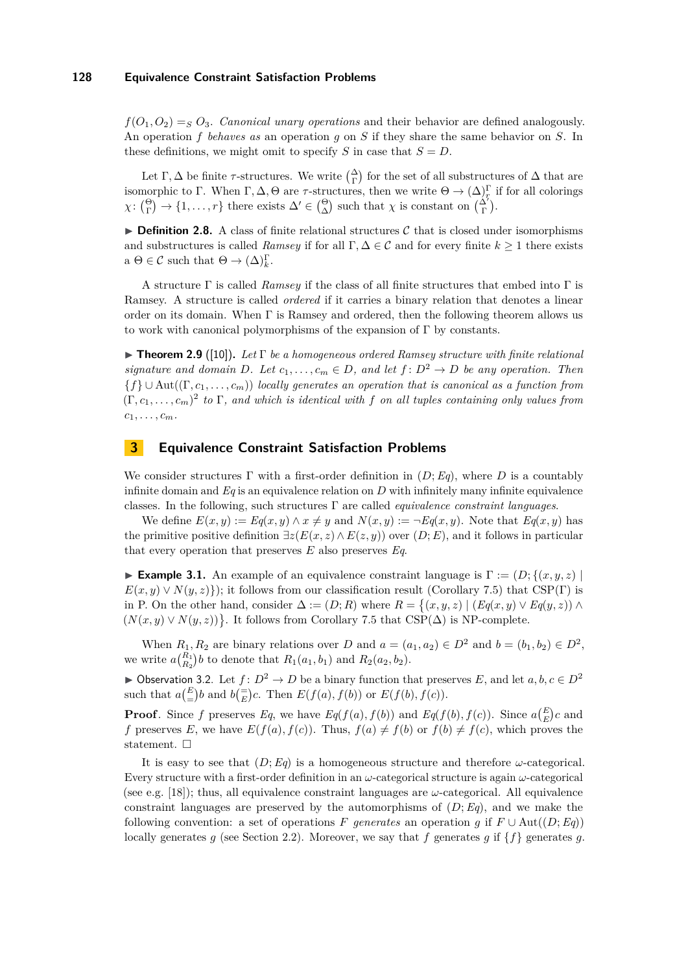$f(O_1, O_2) = S_2 O_3$ . *Canonical unary operations* and their behavior are defined analogously. An operation *f behaves as* an operation *g* on *S* if they share the same behavior on *S*. In these definitions, we might omit to specify *S* in case that  $S = D$ .

Let  $\Gamma, \Delta$  be finite  $\tau$ -structures. We write  $\binom{\Delta}{\Gamma}$  for the set of all substructures of  $\Delta$  that are isomorphic to Γ. When Γ, Δ, Θ are *τ*-structures, then we write  $\Theta \to (\Delta)^{\Gamma}_{r}$  if for all colorings  $\chi: \binom{\Theta}{\Gamma} \to \{1, \ldots, r\}$  there exists  $\Delta' \in \binom{\Theta}{\Delta}$  such that  $\chi$  is constant on  $\binom{\Delta'}{\Gamma}$ .

**Definition 2.8.** A class of finite relational structures  $C$  that is closed under isomorphisms and substructures is called *Ramsey* if for all  $\Gamma, \Delta \in \mathcal{C}$  and for every finite  $k \geq 1$  there exists  $a \Theta \in \mathcal{C}$  such that  $\Theta \to (\Delta)^{\Gamma}_{k}$ .

A structure Γ is called *Ramsey* if the class of all finite structures that embed into Γ is Ramsey. A structure is called *ordered* if it carries a binary relation that denotes a linear order on its domain. When  $\Gamma$  is Ramsey and ordered, then the following theorem allows us to work with canonical polymorphisms of the expansion of Γ by constants.

<span id="page-6-0"></span>I **Theorem 2.9** ([\[10\]](#page-14-17))**.** *Let* Γ *be a homogeneous ordered Ramsey structure with finite relational signature and domain D.* Let  $c_1, \ldots, c_m \in D$ , and let  $f: D^2 \to D$  be any operation. Then {*f*} ∪ Aut((Γ*, c*1*, . . . , cm*)) *locally generates an operation that is canonical as a function from*  $(\Gamma, c_1, \ldots, c_m)^2$  to  $\Gamma$ , and which is identical with f on all tuples containing only values from  $c_1, \ldots, c_m$ .

# **3 Equivalence Constraint Satisfaction Problems**

We consider structures  $\Gamma$  with a first-order definition in  $(D; Eq)$ , where  $D$  is a countably infinite domain and  $Eq$  is an equivalence relation on  $D$  with infinitely many infinite equivalence classes. In the following, such structures Γ are called *equivalence constraint languages*.

We define  $E(x, y) := E(q(x, y) \wedge x \neq y$  and  $N(x, y) := \neg E(q(x, y))$ . Note that  $E(q(x, y))$  has the primitive positive definition  $\exists z(E(x, z) \land E(z, y))$  over  $(D; E)$ , and it follows in particular that every operation that preserves *E* also preserves *Eq*.

**Example 3.1.** An example of an equivalence constraint language is  $\Gamma := (D; \{(x, y, z) \mid \mathbb{R}\})$  $E(x, y) \vee N(y, z)$ ; it follows from our classification result (Corollary [7.5\)](#page-13-2) that CSP(Γ) is in P. On the other hand, consider  $\Delta := (D; R)$  where  $R = \{(x, y, z) | (Eq(x, y) \vee Eq(y, z)) \wedge$  $(N(x, y) \vee N(y, z))$ . It follows from Corollary [7.5](#page-13-2) that CSP( $\Delta$ ) is NP-complete.

When  $R_1, R_2$  are binary relations over *D* and  $a = (a_1, a_2) \in D^2$  and  $b = (b_1, b_2) \in D^2$ , we write  $a_{R_2}^{(R_1)}$  to denote that  $R_1(a_1, b_1)$  and  $R_2(a_2, b_2)$ .

▶ Observation 3.2. Let  $f: D^2 \to D$  be a binary function that preserves *E*, and let  $a, b, c \in D^2$ such that  $a\left(\frac{E}{E}\right)b$  and  $b\left(\frac{E}{E}\right)c$ . Then  $E(f(a), f(b))$  or  $E(f(b), f(c))$ .

**Proof**. Since *f* preserves *Eq*, we have *Eq*(*f*(*a*)*, f*(*b*)) and *Eq*(*f*(*b*)*, f*(*c*)). Since  $a\binom{E}{E}c$  and *f* preserves *E*, we have  $E(f(a), f(c))$ . Thus,  $f(a) \neq f(b)$  or  $f(b) \neq f(c)$ , which proves the statement.  $\square$ 

It is easy to see that  $(D; Eq)$  is a homogeneous structure and therefore  $\omega$ -categorical. Every structure with a first-order definition in an *ω*-categorical structure is again *ω*-categorical (see e.g. [\[18\]](#page-14-13)); thus, all equivalence constraint languages are  $\omega$ -categorical. All equivalence constraint languages are preserved by the automorphisms of  $(D; Eq)$ , and we make the following convention: a set of operations *F* generates an operation g if  $F \cup Aut((D; Eq))$ locally generates *g* (see Section [2.2\)](#page-4-0). Moreover, we say that *f* generates *g* if {*f*} generates *g*.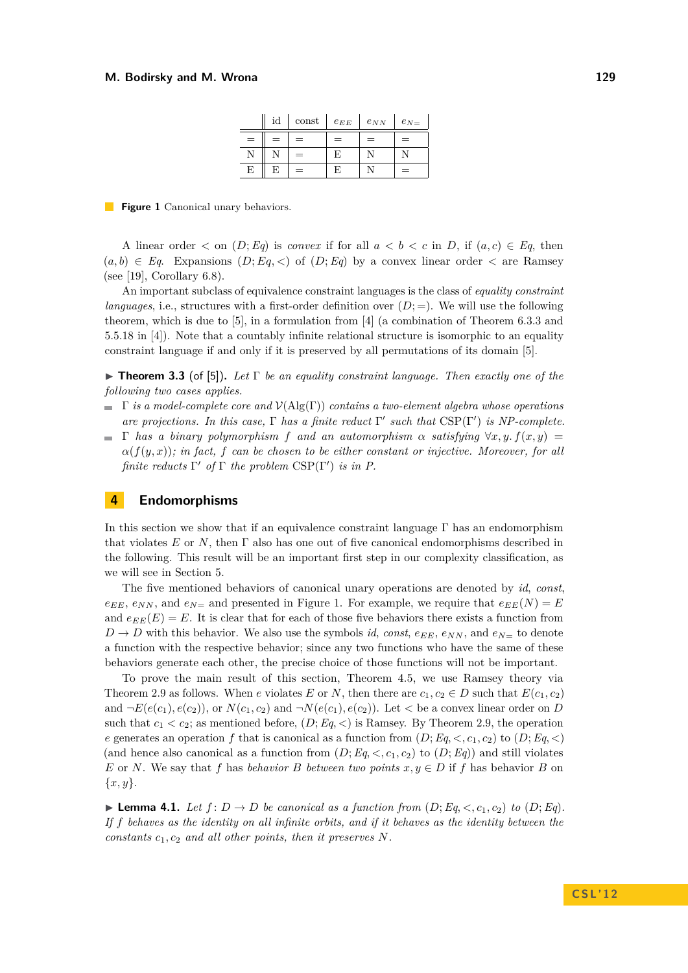|     | id  | const | $e_{EE}$ | $e_{NN}$ | $e_{N}$ |
|-----|-----|-------|----------|----------|---------|
| $=$ | $=$ | $=$   | $=$      | $=$      | $=$     |
| Ν   |     | $=$   | F        |          |         |
| E   | E   | =     | F        |          | $=$     |

<span id="page-7-1"></span>**Figure 1** Canonical unary behaviors.

A linear order  $\lt$  on  $(D; Eq)$  is *convex* if for all  $a \lt b \lt c$  in *D*, if  $(a, c) \in Eq$ , then  $(a, b) \in Eq$ . Expansions  $(D; Eq, <)$  of  $(D; Eq)$  by a convex linear order  $<$  are Ramsey (see [\[19\]](#page-14-18), Corollary 6.8).

An important subclass of equivalence constraint languages is the class of *equality constraint languages*, i.e., structures with a first-order definition over  $(D; =)$ . We will use the following theorem, which is due to [\[5\]](#page-14-19), in a formulation from [\[4\]](#page-14-2) (a combination of Theorem 6.3.3 and 5.5.18 in [\[4\]](#page-14-2)). Note that a countably infinite relational structure is isomorphic to an equality constraint language if and only if it is preserved by all permutations of its domain [\[5\]](#page-14-19).

<span id="page-7-0"></span>**Figure 1.3.3** (of [\[5\]](#page-14-19)). Let  $\Gamma$  be an equality constraint language. Then exactly one of the *following two cases applies.*

- Γ *is a model-complete core and* V(Alg(Γ)) *contains a two-element algebra whose operations are projections. In this case,*  $\Gamma$  *has a finite reduct*  $\Gamma'$  *such that*  $CSP(\Gamma')$  *is NP-complete.*
- $\blacksquare$   $\Gamma$  *has a binary polymorphism*  $f$  *and an automorphism*  $\alpha$  *satisfying*  $\forall x, y$   $f(x, y)$  = *α*(*f*(*y, x*))*; in fact, f can be chosen to be either constant or injective. Moreover, for all finite reducts*  $\Gamma'$  *of*  $\Gamma$  *the problem*  $CSP(\Gamma')$  *is in P.*

# **4 Endomorphisms**

In this section we show that if an equivalence constraint language  $\Gamma$  has an endomorphism that violates *E* or *N*, then Γ also has one out of five canonical endomorphisms described in the following. This result will be an important first step in our complexity classification, as we will see in Section [5.](#page-9-0)

The five mentioned behaviors of canonical unary operations are denoted by *id*, *const*,  $e_{EE}$ ,  $e_{NN}$ , and  $e_{N=}$  and presented in Figure [1.](#page-7-1) For example, we require that  $e_{EE}(N) = E$ and  $e_{EE}(E) = E$ . It is clear that for each of those five behaviors there exists a function from  $D \rightarrow D$  with this behavior. We also use the symbols *id*, *const*,  $e_{EE}$ ,  $e_{NN}$ , and  $e_{N=}$  to denote a function with the respective behavior; since any two functions who have the same of these behaviors generate each other, the precise choice of those functions will not be important.

To prove the main result of this section, Theorem [4.5,](#page-9-1) we use Ramsey theory via Theorem [2.9](#page-6-0) as follows. When *e* violates *E* or *N*, then there are  $c_1, c_2 \in D$  such that  $E(c_1, c_2)$ and  $\neg E(e(c_1), e(c_2))$ , or  $N(c_1, c_2)$  and  $\neg N(e(c_1), e(c_2))$ . Let  $\lt$  be a convex linear order on *D* such that  $c_1 < c_2$ ; as mentioned before,  $(D; Eq, <)$  is Ramsey. By Theorem [2.9,](#page-6-0) the operation *e* generates an operation *f* that is canonical as a function from  $(D; Eq, <, c_1, c_2)$  to  $(D; Eq, <)$ (and hence also canonical as a function from  $(D; Eq, <, c_1, c_2)$  to  $(D; Eq)$ ) and still violates *E* or *N*. We say that *f* has *behavior B between two points*  $x, y \in D$  if *f* has behavior *B* on {*x, y*}.

<span id="page-7-2"></span>**Example 4.1.** *Let*  $f: D \to D$  *be canonical as a function from*  $(D: Eq, *c*, *c*<sub>1</sub>, *c*<sub>2</sub>)$  *to*  $(D: Eq)$ *. If f behaves as the identity on all infinite orbits, and if it behaves as the identity between the constants*  $c_1, c_2$  *and all other points, then it preserves*  $N$ *.*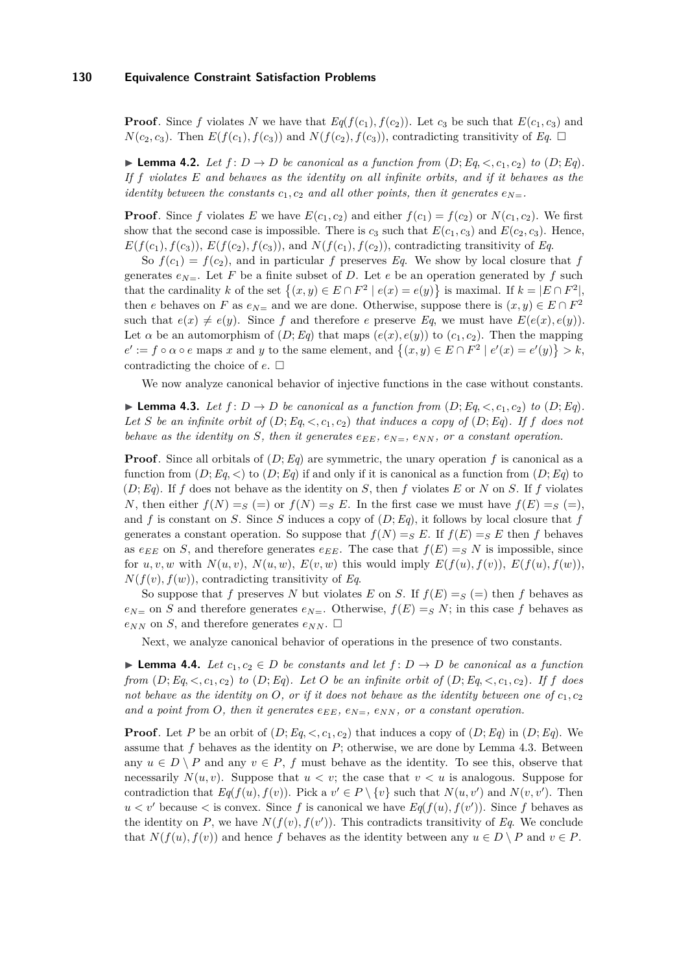**Proof**. Since *f* violates *N* we have that  $Eq(f(c_1), f(c_2))$ . Let  $c_3$  be such that  $E(c_1, c_3)$  and  $N(c_2, c_3)$ . Then  $E(f(c_1), f(c_3))$  and  $N(f(c_2), f(c_3))$ , contradicting transitivity of *Eq.*  $\Box$ 

<span id="page-8-1"></span>**Example 4.2.** *Let*  $f: D \to D$  *be canonical as a function from*  $(D; Eq, *c*, *c*<sub>1</sub>, *c*<sub>2</sub>)$  *to*  $(D; Eq)$ *. If f violates E and behaves as the identity on all infinite orbits, and if it behaves as the identity between the constants*  $c_1$ ,  $c_2$  *and all other points, then it generates*  $e_N =$ .

**Proof**. Since *f* violates *E* we have  $E(c_1, c_2)$  and either  $f(c_1) = f(c_2)$  or  $N(c_1, c_2)$ . We first show that the second case is impossible. There is  $c_3$  such that  $E(c_1, c_3)$  and  $E(c_2, c_3)$ . Hence,  $E(f(c_1), f(c_3))$ ,  $E(f(c_2), f(c_3))$ , and  $N(f(c_1), f(c_2))$ , contradicting transitivity of *Eq.* 

So  $f(c_1) = f(c_2)$ , and in particular *f* preserves *Eq*. We show by local closure that *f* generates  $e_{N=1}$ . Let *F* be a finite subset of *D*. Let *e* be an operation generated by *f* such that the cardinality k of the set  $\{(x, y) \in E \cap F^2 \mid e(x) = e(y)\}\$ is maximal. If  $k = |E \cap F^2|$ , then *e* behaves on *F* as  $e_{N=}$  and we are done. Otherwise, suppose there is  $(x, y) \in E \cap F^2$ such that  $e(x) \neq e(y)$ . Since f and therefore *e* preserve Eq, we must have  $E(e(x), e(y))$ . Let  $\alpha$  be an automorphism of  $(D; Eq)$  that maps  $(e(x), e(y))$  to  $(c_1, c_2)$ . Then the mapping  $e' := f \circ \alpha \circ e$  maps *x* and *y* to the same element, and  $\{(x, y) \in E \cap F^2 \mid e'(x) = e'(y)\} > k$ , contradicting the choice of  $e$ .  $\Box$ 

We now analyze canonical behavior of injective functions in the case without constants.

<span id="page-8-0"></span>▶ **Lemma 4.3.** *Let*  $f$  :  $D$  →  $D$  *be canonical as a function from*  $(D; Eq, <, c_1, c_2)$  *to*  $(D; Eq)$ *.* Let *S* be an infinite orbit of  $(D; Eq, <, c_1, c_2)$  that induces a copy of  $(D; Eq)$ *. If f* does not *behave as the identity on S, then it generates*  $e_{EE}$ *,*  $e_{N=}$ *,*  $e_{NN}$ *, or a constant operation.* 

**Proof**. Since all orbitals of (*D*;*Eq*) are symmetric, the unary operation *f* is canonical as a function from  $(D; Eq, <)$  to  $(D; Eq)$  if and only if it is canonical as a function from  $(D; Eq)$  to  $(D; Eq)$ . If *f* does not behave as the identity on *S*, then *f* violates *E* or *N* on *S*. If *f* violates *N*, then either  $f(N) = S(=)$  or  $f(N) = S(E)$ . In the first case we must have  $f(E) = S(=)$ , and *f* is constant on *S*. Since *S* induces a copy of  $(D; Eq)$ , it follows by local closure that *f* generates a constant operation. So suppose that  $f(N) = S E$ . If  $f(E) = S E$  then *f* behaves as  $e_{EE}$  on *S*, and therefore generates  $e_{EE}$ . The case that  $f(E) = S N$  is impossible, since for  $u, v, w$  with  $N(u, v), N(u, w), E(v, w)$  this would imply  $E(f(u), f(v)), E(f(u), f(w))$ ,  $N(f(v), f(w))$ , contradicting transitivity of *Eq.* 

So suppose that *f* preserves *N* but violates *E* on *S*. If  $f(E) = g (=$  then *f* behaves as  $e_{N=0}$  on *S* and therefore generates  $e_{N=0}$ . Otherwise,  $f(E) = S N$ ; in this case *f* behaves as  $e_{NN}$  on *S*, and therefore generates  $e_{NN}$ .  $\Box$ 

Next, we analyze canonical behavior of operations in the presence of two constants.

<span id="page-8-2"></span>**► Lemma 4.4.** *Let*  $c_1, c_2 \in D$  *be constants and let*  $f: D \to D$  *be canonical as a function from*  $(D; Eq,  $\langle c_1, c_2 \rangle$  *to*  $(D; Eq)$ *. Let*  $O$  *be an infinite orbit of*  $(D; Eq,  $\langle c_1, c_2 \rangle$ *. If*  $f$  *does*$$ *not behave as the identity on O, or if it does not behave as the identity between one of*  $c_1$ ,  $c_2$ and a point from O, then it generates  $e_{EE}$ ,  $e_{N=}$ ,  $e_{NN}$ , or a constant operation.

**Proof**. Let *P* be an orbit of  $(D; Eq, *c*<sub>1</sub>, *c*<sub>2</sub>)$  that induces a copy of  $(D; Eq)$  in  $(D; Eq)$ . We assume that *f* behaves as the identity on *P*; otherwise, we are done by Lemma [4.3.](#page-8-0) Between any  $u \in D \setminus P$  and any  $v \in P$ , *f* must behave as the identity. To see this, observe that necessarily  $N(u, v)$ . Suppose that  $u < v$ ; the case that  $v < u$  is analogous. Suppose for contradiction that  $Eq(f(u), f(v))$ . Pick a  $v' \in P \setminus \{v\}$  such that  $N(u, v')$  and  $N(v, v')$ . Then  $u < v'$  because  $\lt$  is convex. Since *f* is canonical we have  $Eq(f(u), f(v'))$ . Since *f* behaves as the identity on  $P$ , we have  $N(f(v), f(v'))$ . This contradicts transitivity of  $Eq.$  We conclude that  $N(f(u), f(v))$  and hence f behaves as the identity between any  $u \in D \setminus P$  and  $v \in P$ .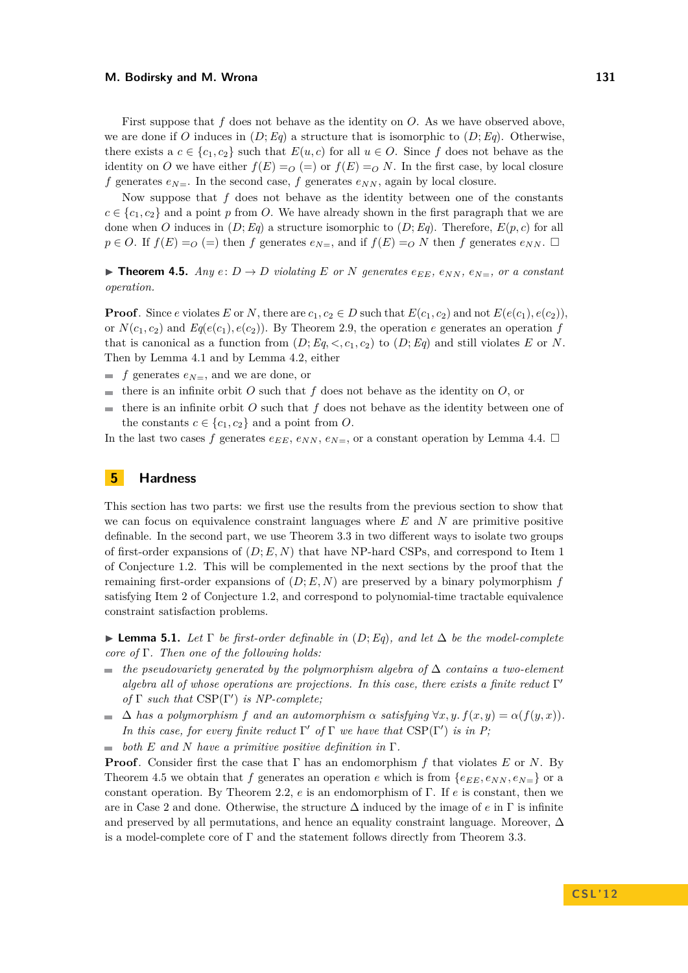First suppose that *f* does not behave as the identity on *O*. As we have observed above, we are done if *O* induces in  $(D; Eq)$  a structure that is isomorphic to  $(D; Eq)$ . Otherwise, there exists a  $c \in \{c_1, c_2\}$  such that  $E(u, c)$  for all  $u \in O$ . Since f does not behave as the identity on *O* we have either  $f(E) = O(-)$  or  $f(E) = O(N)$ . In the first case, by local closure *f* generates  $e_{N=}$ . In the second case, *f* generates  $e_{NN}$ , again by local closure.

Now suppose that *f* does not behave as the identity between one of the constants  $c \in \{c_1, c_2\}$  and a point *p* from *O*. We have already shown in the first paragraph that we are done when *O* induces in  $(D; Eq)$  a structure isomorphic to  $(D; Eq)$ . Therefore,  $E(p, c)$  for all  $p \in O$ . If  $f(E) = O$  (=) then *f* generates  $e_{N=1}$ , and if  $f(E) = O N$  then *f* generates  $e_{NN}$ .  $\Box$ 

<span id="page-9-1"></span> $\triangleright$  **Theorem 4.5.** *Any*  $e: D \to D$  *violating*  $E$  *or N generates*  $e_{EE}$ *,*  $e_{NN}$ *,*  $e_{N=}$ *, or a constant operation.*

**Proof**. Since *e* violates *E* or *N*, there are  $c_1, c_2 \in D$  such that  $E(c_1, c_2)$  and not  $E(e(c_1), e(c_2))$ , or  $N(c_1, c_2)$  and  $Eq(e(c_1), e(c_2))$ . By Theorem [2.9,](#page-6-0) the operation *e* generates an operation *f* that is canonical as a function from  $(D; Eq, <, c_1, c_2)$  to  $(D; Eq)$  and still violates E or N. Then by Lemma [4.1](#page-7-2) and by Lemma [4.2,](#page-8-1) either

- $f$  generates  $e_{N=}$ , and we are done, or
- there is an infinite orbit *O* such that  $f$  does not behave as the identity on  $O$ , or
- there is an infinite orbit *O* such that *f* does not behave as the identity between one of the constants  $c \in \{c_1, c_2\}$  and a point from *O*.

In the last two cases f generates  $e_{EE}$ ,  $e_{NN}$ ,  $e_{N=}$ , or a constant operation by Lemma [4.4.](#page-8-2)  $\Box$ 

# <span id="page-9-0"></span>**5 Hardness**

This section has two parts: we first use the results from the previous section to show that we can focus on equivalence constraint languages where *E* and *N* are primitive positive definable. In the second part, we use Theorem [3.3](#page-7-0) in two different ways to isolate two groups of first-order expansions of (*D*; *E, N*) that have NP-hard CSPs, and correspond to Item [1](#page-1-2) of Conjecture [1.2.](#page-1-1) This will be complemented in the next sections by the proof that the remaining first-order expansions of  $(D; E, N)$  are preserved by a binary polymorphism  $f$ satisfying Item [2](#page-1-3) of Conjecture [1.2,](#page-1-1) and correspond to polynomial-time tractable equivalence constraint satisfaction problems.

<span id="page-9-2"></span>**► Lemma 5.1.** Let  $\Gamma$  be first-order definable in  $(D; Eq)$ , and let  $\Delta$  be the model-complete *core of* Γ*. Then one of the following holds:*

- *the pseudovariety generated by the polymorphism algebra of* ∆ *contains a two-element* m. algebra all of whose operations are projections. In this case, there exists a finite reduct Γ' *of*  $\Gamma$  *such that*  $CSP(\Gamma')$  *is NP-complete;*
- $\Delta$  *has a polymorphism f* and an automorphism  $\alpha$  *satisfying*  $\forall x, y$ .  $f(x, y) = \alpha(f(y, x))$ . *In this case, for every finite reduct*  $\Gamma'$  *of*  $\Gamma$  *we have that*  $CSP(\Gamma')$  *is in P*;

 $\blacksquare$  both *E* and *N* have a primitive positive definition in  $\Gamma$ .

**Proof**. Consider first the case that Γ has an endomorphism *f* that violates *E* or *N*. By Theorem [4.5](#page-9-1) we obtain that *f* generates an operation *e* which is from  $\{e_{EE}, e_{NN}, e_{N=}\}\$  or a constant operation. By Theorem [2.2,](#page-4-1) *e* is an endomorphism of Γ. If *e* is constant, then we are in Case 2 and done. Otherwise, the structure ∆ induced by the image of *e* in Γ is infinite and preserved by all permutations, and hence an equality constraint language. Moreover,  $\Delta$ is a model-complete core of Γ and the statement follows directly from Theorem [3.3.](#page-7-0)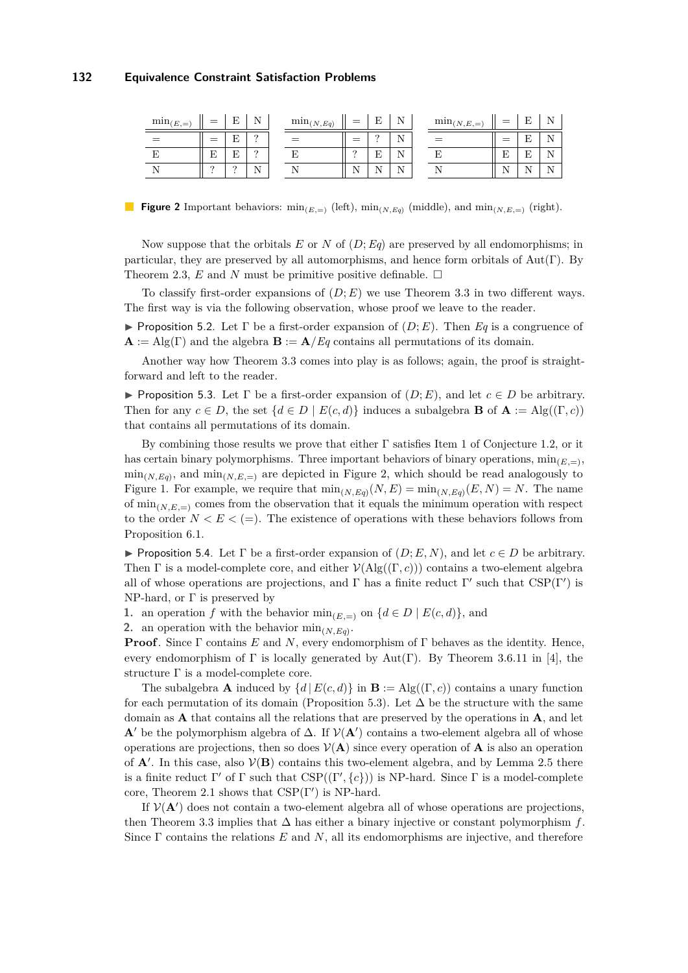<span id="page-10-0"></span>

| $\min_{(E,=)}$ | $=$      | Е             | N<br>т,  | $\min_{(N,Eq)}$ | $=$                  | E                    | <b>NT</b><br>. .      | $\min_{(N,E,\equiv)}$ | $=$           | Е             | <b>NT</b>       |
|----------------|----------|---------------|----------|-----------------|----------------------|----------------------|-----------------------|-----------------------|---------------|---------------|-----------------|
|                | $=$      | п<br>F.       | $\Omega$ |                 | $=$                  | $\Omega$             | <b>NT</b><br><b>.</b> |                       | =             | E             | <b>T</b>        |
|                | T7<br>Ľ  | $\Gamma$<br>Ŀ | $\Omega$ |                 | $\Omega$             | E                    | <b>NT</b><br>∸        |                       | E             | Ε             | <b>NT</b><br>Ŧ۸ |
|                | $\Omega$ | $\Omega$      | N        |                 | $\sim$ $\sim$<br>. . | $\sim$ $\sim$<br>. . | $\sim$ $\sim$         |                       | $\sim$ $\sim$ | $\sim$ $\sim$ | $\mathbf{v}$    |

**Figure 2** Important behaviors:  $\min_{(E,\equiv)} (\text{left}), \min_{(N,E,q)} (\text{middle}), \text{and } \min_{(N,E,\equiv)} (\text{right}).$ 

Now suppose that the orbitals *E* or *N* of (*D*;*Eq*) are preserved by all endomorphisms; in particular, they are preserved by all automorphisms, and hence form orbitals of Aut(Γ). By Theorem [2.3,](#page-4-2)  $E$  and  $N$  must be primitive positive definable.  $\square$ 

To classify first-order expansions of  $(D; E)$  we use Theorem [3.3](#page-7-0) in two different ways. The first way is via the following observation, whose proof we leave to the reader.

**If** Proposition 5.2. Let  $\Gamma$  be a first-order expansion of  $(D; E)$ . Then Eq is a congruence of  $\mathbf{A} := \text{Alg}(\Gamma)$  and the algebra  $\mathbf{B} := \mathbf{A}/Eq$  contains all permutations of its domain.

Another way how Theorem [3.3](#page-7-0) comes into play is as follows; again, the proof is straightforward and left to the reader.

<span id="page-10-1"></span>**Proposition 5.3.** Let  $\Gamma$  be a first-order expansion of  $(D; E)$ , and let  $c \in D$  be arbitrary. Then for any  $c \in D$ , the set  $\{d \in D \mid E(c, d)\}$  induces a subalgebra **B** of  $\mathbf{A} := \text{Alg}((\Gamma, c))$ that contains all permutations of its domain.

By combining those results we prove that either  $\Gamma$  satisfies Item [1](#page-1-2) of Conjecture [1.2,](#page-1-1) or it has certain binary polymorphisms. Three important behaviors of binary operations,  $\min_{(E,\equiv)}$ ,  $\min_{(N,E_q)}$ , and  $\min_{(N,E,\equiv)}$  are depicted in Figure [2,](#page-10-0) which should be read analogously to Figure [1.](#page-7-1) For example, we require that  $\min_{(N,Eq)} (N,E) = \min_{(N,Eq)} (E,N) = N$ . The name of  $\min_{(N,E)=\infty}$  comes from the observation that it equals the minimum operation with respect to the order  $N < E < (=)$ . The existence of operations with these behaviors follows from Proposition [6.1.](#page-11-0)

<span id="page-10-2"></span>**Proposition 5.4.** Let  $\Gamma$  be a first-order expansion of  $(D; E, N)$ , and let  $c \in D$  be arbitrary. Then  $\Gamma$  is a model-complete core, and either  $V(\text{Alg}((\Gamma, c)))$  contains a two-element algebra all of whose operations are projections, and  $\Gamma$  has a finite reduct  $\Gamma'$  such that  $CSP(\Gamma')$  is NP-hard, or  $\Gamma$  is preserved by

**1.** an operation *f* with the behavior  $\min_{(E,\equiv)}$  on  $\{d \in D \mid E(c,d)\}\$ , and

**2.** an operation with the behavior  $\min_{(N, Eq)}$ .

**Proof**. Since  $\Gamma$  contains  $E$  and  $N$ , every endomorphism of  $\Gamma$  behaves as the identity. Hence, every endomorphism of  $\Gamma$  is locally generated by Aut( $\Gamma$ ). By Theorem 3.6.11 in [\[4\]](#page-14-2), the structure Γ is a model-complete core.

The subalgebra **A** induced by  $\{d | E(c, d)\}$  in  $\mathbf{B} := \mathrm{Alg}((\Gamma, c))$  contains a unary function for each permutation of its domain (Proposition [5.3\)](#page-10-1). Let  $\Delta$  be the structure with the same domain as **A** that contains all the relations that are preserved by the operations in **A**, and let **A**<sup> $\prime$ </sup> be the polymorphism algebra of  $\Delta$ . If  $V(A')$  contains a two-element algebra all of whose operations are projections, then so does  $V(A)$  since every operation of A is also an operation of  $A'$ . In this case, also  $V(B)$  contains this two-element algebra, and by Lemma [2.5](#page-5-1) there is a finite reduct  $\Gamma'$  of  $\Gamma$  such that  $CSP((\Gamma', \{c\}))$  is NP-hard. Since  $\Gamma$  is a model-complete core, Theorem [2.1](#page-4-3) shows that  $CSP(\Gamma')$  is NP-hard.

If  $V(A')$  does not contain a two-element algebra all of whose operations are projections, then Theorem [3.3](#page-7-0) implies that ∆ has either a binary injective or constant polymorphism *f*. Since Γ contains the relations *E* and *N*, all its endomorphisms are injective, and therefore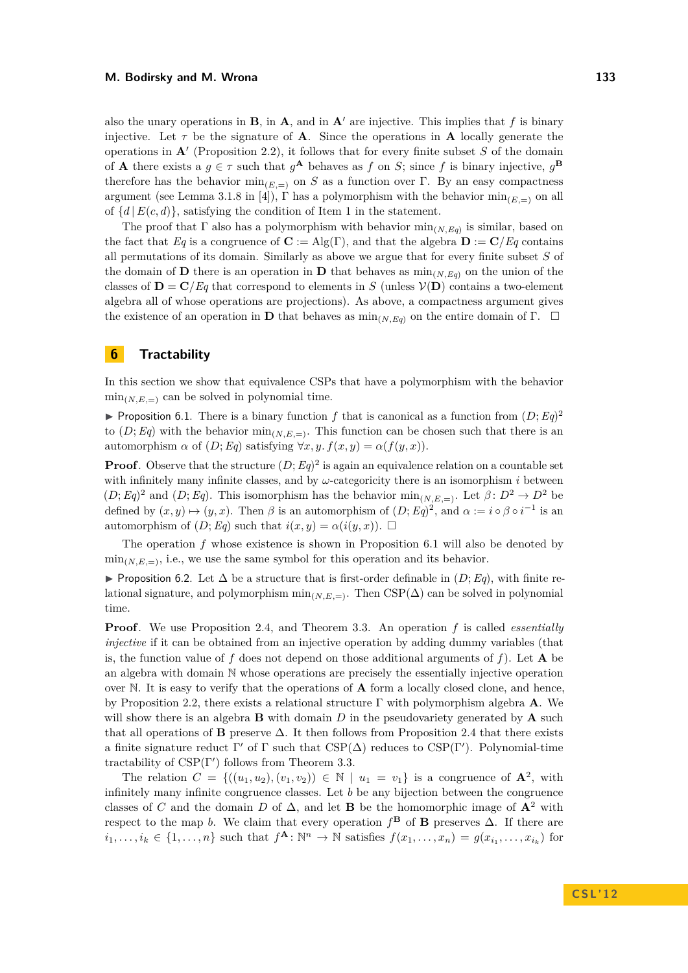also the unary operations in **B**, in **A**, and in **A'** are injective. This implies that f is binary injective. Let  $\tau$  be the signature of **A**. Since the operations in **A** locally generate the operations in  $\mathbf{A}'$  (Proposition [2.2\)](#page-4-1), it follows that for every finite subset  $S$  of the domain of **A** there exists a  $g \in \tau$  such that  $g^{\mathbf{A}}$  behaves as  $f$  on  $S$ ; since  $f$  is binary injective,  $g^{\mathbf{B}}$ therefore has the behavior  $\min_{(E,=)}$  on *S* as a function over Γ. By an easy compactness argument (see Lemma 3.1.8 in [\[4\]](#page-14-2)),  $\Gamma$  has a polymorphism with the behavior  $\min_{E=1}$  on all of  $\{d \mid E(c, d)\}$ , satisfying the condition of Item 1 in the statement.

The proof that  $\Gamma$  also has a polymorphism with behavior  $\min_{(N,E_q)}$  is similar, based on the fact that *Eq* is a congruence of  $\mathbf{C} := \mathrm{Alg}(\Gamma)$ , and that the algebra  $\mathbf{D} := \mathbf{C}/Eq$  contains all permutations of its domain. Similarly as above we argue that for every finite subset *S* of the domain of **D** there is an operation in **D** that behaves as  $\min_{(N, E_q)}$  on the union of the classes of  $\mathbf{D} = \mathbf{C}/Eq$  that correspond to elements in *S* (unless  $\mathcal{V}(\mathbf{D})$  contains a two-element algebra all of whose operations are projections). As above, a compactness argument gives the existence of an operation in **D** that behaves as  $\min_{(N,Eq)}$  on the entire domain of Γ.  $\Box$ 

# **6 Tractability**

In this section we show that equivalence CSPs that have a polymorphism with the behavior  $\min_{(N,E,\equiv)}$  can be solved in polynomial time.

<span id="page-11-0"></span>**Proposition 6.1.** There is a binary function f that is canonical as a function from  $(D; Eq)^2$ to  $(D; Eq)$  with the behavior  $\min_{(N,E,\equiv)}$ . This function can be chosen such that there is an automorphism  $\alpha$  of  $(D; Eq)$  satisfying  $\forall x, y$ .  $f(x, y) = \alpha(f(y, x))$ .

**Proof**. Observe that the structure  $(D; Eq)^2$  is again an equivalence relation on a countable set with infinitely many infinite classes, and by  $\omega$ -categoricity there is an isomorphism *i* between  $(D; Eq)^2$  and  $(D; Eq)$ . This isomorphism has the behavior  $\min_{(N,E,\equiv)}$ . Let  $\beta: D^2 \to D^2$  be defined by  $(x, y) \mapsto (y, x)$ . Then  $\beta$  is an automorphism of  $(D; Eq)^2$ , and  $\alpha := i \circ \beta \circ i^{-1}$  is an automorphism of  $(D; Eq)$  such that  $i(x, y) = \alpha(i(y, x))$ .

The operation *f* whose existence is shown in Proposition [6.1](#page-11-0) will also be denoted by  $\min_{(N,E,\equiv)}$ , i.e., we use the same symbol for this operation and its behavior.

<span id="page-11-1"></span>**► Proposition 6.2.** Let  $\Delta$  be a structure that is first-order definable in  $(D; Eq)$ , with finite relational signature, and polymorphism  $\min_{(N,E,\equiv)}$ . Then CSP( $\Delta$ ) can be solved in polynomial time.

**Proof**. We use Proposition [2.4,](#page-5-0) and Theorem [3.3.](#page-7-0) An operation *f* is called *essentially injective* if it can be obtained from an injective operation by adding dummy variables (that is, the function value of  $f$  does not depend on those additional arguments of  $f$ ). Let  $\bf{A}$  be an algebra with domain N whose operations are precisely the essentially injective operation over N. It is easy to verify that the operations of **A** form a locally closed clone, and hence, by Proposition [2.2,](#page-4-1) there exists a relational structure Γ with polymorphism algebra **A**. We will show there is an algebra **B** with domain *D* in the pseudovariety generated by **A** such that all operations of **B** preserve  $\Delta$ . It then follows from Proposition [2.4](#page-5-0) that there exists a finite signature reduct  $\Gamma'$  of  $\Gamma$  such that  $CSP(\Delta)$  reduces to  $CSP(\Gamma')$ . Polynomial-time tractability of  $CSP(\Gamma')$  follows from Theorem [3.3.](#page-7-0)

The relation  $C = \{((u_1, u_2), (v_1, v_2)) \in \mathbb{N} \mid u_1 = v_1\}$  is a congruence of  $\mathbf{A}^2$ , with infinitely many infinite congruence classes. Let *b* be any bijection between the congruence classes of *C* and the domain *D* of  $\Delta$ , and let **B** be the homomorphic image of  $\mathbf{A}^2$  with respect to the map *b*. We claim that every operation  $f^{\mathbf{B}}$  of **B** preserves  $\Delta$ . If there are  $i_1,\ldots,i_k\in\{1,\ldots,n\}$  such that  $f^{\mathbf{A}}:\mathbb{N}^n\to\mathbb{N}$  satisfies  $f(x_1,\ldots,x_n)=g(x_{i_1},\ldots,x_{i_k})$  for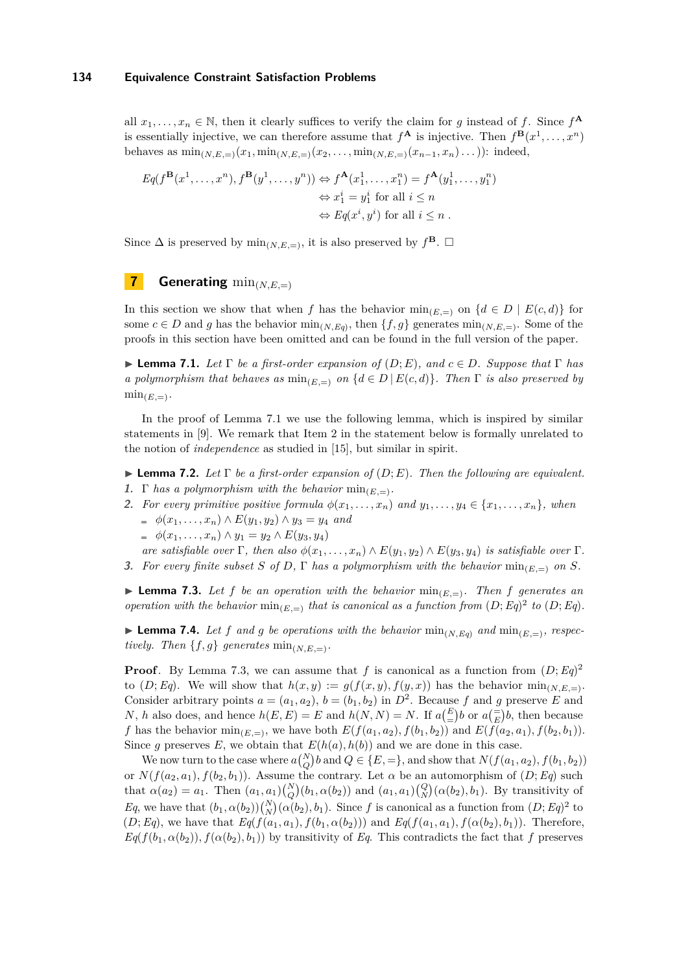all  $x_1, \ldots, x_n \in \mathbb{N}$ , then it clearly suffices to verify the claim for *g* instead of *f*. Since  $f^{\mathbf{A}}$ is essentially injective, we can therefore assume that  $f^{\mathbf{A}}$  is injective. Then  $f^{\mathbf{B}}(x^1, \ldots, x^n)$ behaves as  $\min_{(N,E_n)}(x_1,\min_{(N,E_n)}(x_2,\ldots,\min_{(N,E_n)}(x_{n-1},x_n)\ldots))$ : indeed,

$$
Eq(f^{\mathbf{B}}(x^{1},...,x^{n}), f^{\mathbf{B}}(y^{1},...,y^{n})) \Leftrightarrow f^{\mathbf{A}}(x_{1}^{1},...,x_{1}^{n}) = f^{\mathbf{A}}(y_{1}^{1},...,y_{1}^{n})
$$
  

$$
\Leftrightarrow x_{1}^{i} = y_{1}^{i} \text{ for all } i \leq n
$$
  

$$
\Leftrightarrow Eq(x^{i}, y^{i}) \text{ for all } i \leq n.
$$

Since  $\Delta$  is preserved by  $\min_{(N,E)=}$ , it is also preserved by  $f^{\mathbf{B}}$ .  $\Box$ 

# **7 Generating** min(*N,E,*=)

In this section we show that when *f* has the behavior  $\min_{(E,\equiv)}$  on  $\{d \in D \mid E(c,d)\}\)$ some  $c \in D$  and *g* has the behavior  $\min_{(N,E_q)}$ , then  $\{f,g\}$  generates  $\min_{(N,E_\gamma)}$ . Some of the proofs in this section have been omitted and can be found in the full version of the paper.

<span id="page-12-0"></span>**I Lemma 7.1.** *Let*  $\Gamma$  *be a first-order expansion of*  $(D; E)$ *, and*  $c \in D$ *. Suppose that*  $\Gamma$  *has a polymorphism that behaves as*  $\min_{(E,\equiv)}$  *on*  $\{d \in D \mid E(c,d)\}$ *. Then*  $\Gamma$  *is also preserved by*  $\min_{(E,\equiv)}$ .

In the proof of Lemma [7.1](#page-12-0) we use the following lemma, which is inspired by similar statements in [\[9\]](#page-14-8). We remark that Item 2 in the statement below is formally unrelated to the notion of *independence* as studied in [\[15\]](#page-14-20), but similar in spirit.

**Lemma 7.2.** *Let*  $\Gamma$  *be a first-order expansion of*  $(D; E)$ *. Then the following are equivalent.* 

- **1.**  $\Gamma$  *has a polymorphism with the behavior*  $\min_{E=1}$ *.*
- 2. For every primitive positive formula  $\phi(x_1, \ldots, x_n)$  and  $y_1, \ldots, y_4 \in \{x_1, \ldots, x_n\}$ , when  $\phi(x_1, \ldots, x_n) \wedge E(y_1, y_2) \wedge y_3 = y_4$  *and* 
	- $\phi(x_1, \ldots, x_n) \wedge y_1 = y_2 \wedge E(y_3, y_4)$

*are satisfiable over*  $\Gamma$ *, then also*  $\phi(x_1, \ldots, x_n) \wedge E(y_1, y_2) \wedge E(y_3, y_4)$  *is satisfiable over*  $\Gamma$ *.* **3.** For every finite subset *S* of *D*,  $\Gamma$  has a polymorphism with the behavior  $\min_{(E,=)}$  on *S*.

<span id="page-12-1"></span>**I Lemma 7.3.** Let f be an operation with the behavior  $min_{(E,=)}$ . Then f generates an *operation with the behavior*  $\min_{(E,=)}$  *that is canonical as a function from*  $(D; Eq)^2$  *to*  $(D; Eq)$ *.* 

<span id="page-12-2"></span>**Example 7.4.** Let f and g be operations with the behavior  $\min_{(N,E_q)}$  and  $\min_{(E,z)}$ *, respectively.* Then  $\{f, g\}$  generates  $\min_{(N,E,\equiv)}$ .

**Proof**. By Lemma [7.3,](#page-12-1) we can assume that f is canonical as a function from  $(D; Eq)^2$ to  $(D; Eq)$ . We will show that  $h(x, y) := g(f(x, y), f(y, x))$  has the behavior  $\min_{(N,E)=1}$ . Consider arbitrary points  $a = (a_1, a_2), b = (b_1, b_2)$  in  $D^2$ . Because f and g preserve E and *N*, *h* also does, and hence  $h(E, E) = E$  and  $h(N, N) = N$ . If  $a\left(\frac{E}{E}\right)b$  or  $a\left(\frac{E}{E}\right)b$ , then because *f* has the behavior  $\min_{(E,=)}$ , we have both  $E(f(a_1, a_2), f(b_1, b_2))$  and  $E(f(a_2, a_1), f(b_2, b_1))$ . Since *g* preserves *E*, we obtain that  $E(h(a), h(b))$  and we are done in this case.

We now turn to the case where  $a\binom{N}{Q}b$  and  $Q \in \{E, =\}$ , and show that  $N(f(a_1, a_2), f(b_1, b_2))$ or  $N(f(a_2, a_1), f(b_2, b_1))$ . Assume the contrary. Let  $\alpha$  be an automorphism of  $(D; Eq)$  such that  $\alpha(a_2) = a_1$ . Then  $(a_1, a_1) {N \choose Q}(b_1, \alpha(b_2))$  and  $(a_1, a_1) {Q \choose N}(\alpha(b_2), b_1)$ . By transitivity of *Eq*, we have that  $(b_1, \alpha(b_2))\binom{N}{N}(\alpha(b_2), b_1)$ . Since *f* is canonical as a function from  $(D; Eq)^2$  to  $(D; Eq)$ , we have that  $Eq(f(a_1, a_1), f(b_1, \alpha(b_2)))$  and  $Eq(f(a_1, a_1), f(\alpha(b_2), b_1))$ . Therefore,  $Eq(f(b_1, \alpha(b_2)), f(\alpha(b_2), b_1))$  by transitivity of *Eq*. This contradicts the fact that *f* preserves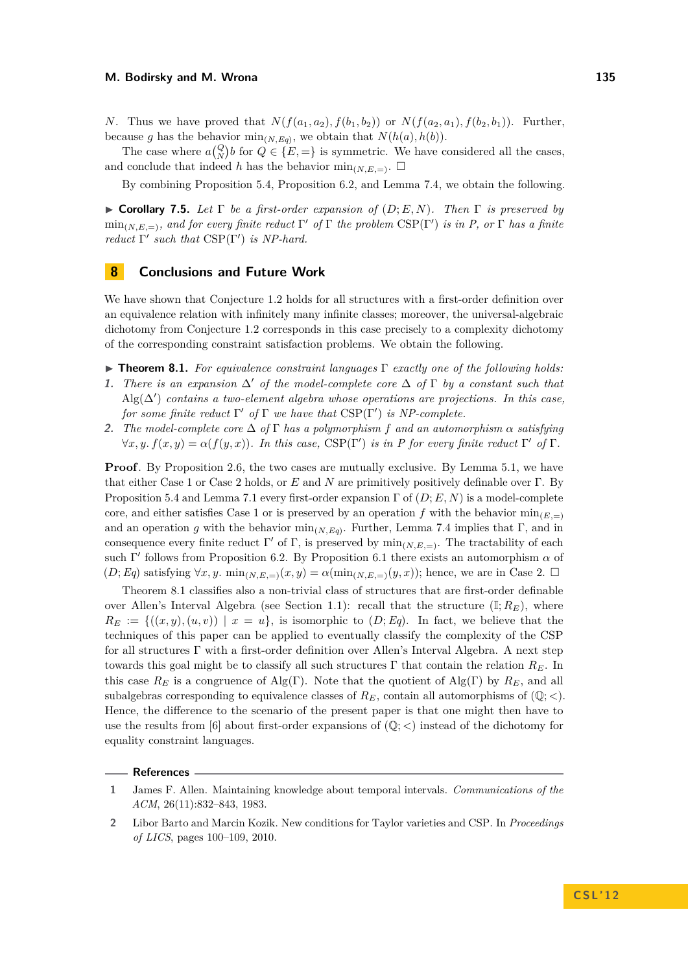*N*. Thus we have proved that  $N(f(a_1, a_2), f(b_1, b_2))$  or  $N(f(a_2, a_1), f(b_2, b_1))$ . Further, because *g* has the behavior  $\min_{(N,Eq)}$ , we obtain that  $N(h(a), h(b))$ .

The case where  $a\begin{pmatrix} Q \\ N \end{pmatrix}$ *b* for  $Q \in \{E,=\}$  is symmetric. We have considered all the cases, and conclude that indeed *h* has the behavior  $\min_{(N,E,\equiv)}$ .

By combining Proposition [5.4,](#page-10-2) Proposition [6.2,](#page-11-1) and Lemma [7.4,](#page-12-2) we obtain the following.

<span id="page-13-2"></span> $\triangleright$  **Corollary 7.5.** Let  $\Gamma$  be a first-order expansion of  $(D; E, N)$ . Then  $\Gamma$  is preserved by  $\min_{(N,E,\equiv)}$ *, and for every finite reduct*  $\Gamma'$  *of*  $\Gamma$  *the problem*  $CSP(\Gamma')$  *is in P, or*  $\Gamma$  *has a finite reduct*  $\Gamma'$  *such that*  $CSP(\Gamma')$  *is NP-hard.* 

# **8 Conclusions and Future Work**

We have shown that Conjecture [1.2](#page-1-1) holds for all structures with a first-order definition over an equivalence relation with infinitely many infinite classes; moreover, the universal-algebraic dichotomy from Conjecture [1.2](#page-1-1) corresponds in this case precisely to a complexity dichotomy of the corresponding constraint satisfaction problems. We obtain the following.

- <span id="page-13-5"></span>I **Theorem 8.1.** *For equivalence constraint languages* Γ *exactly one of the following holds:*
- <span id="page-13-3"></span>**1.** *There is an expansion*  $\Delta'$  *of the model-complete core*  $\Delta$  *of*  $\Gamma$  *by a constant such that* Alg(∆<sup>0</sup> ) *contains a two-element algebra whose operations are projections. In this case, for some finite reduct*  $\Gamma'$  *of*  $\Gamma$  *we have that*  $CSP(\Gamma')$  *is NP-complete.*
- <span id="page-13-4"></span>**2.** *The model-complete core* ∆ *of* Γ *has a polymorphism f and an automorphism α satisfying*  $\forall x, y \text{. } f(x, y) = \alpha(f(y, x))$ . In this case, CSP(Γ') is in P for every finite reduct  $\Gamma'$  of  $\Gamma$ .

**Proof**. By Proposition [2.6,](#page-5-2) the two cases are mutually exclusive. By Lemma [5.1,](#page-9-2) we have that either Case [1](#page-13-3) or Case [2](#page-13-4) holds, or *E* and *N* are primitively positively definable over Γ. By Proposition [5.4](#page-10-2) and Lemma [7.1](#page-12-0) every first-order expansion  $\Gamma$  of  $(D; E, N)$  is a model-complete core, and either satisfies Case [1](#page-13-3) or is preserved by an operation f with the behavior  $\min_{(E,\pi)}$ and an operation *g* with the behavior  $\min_{(N, Eq)}$ . Further, Lemma [7.4](#page-12-2) implies that Γ, and in consequence every finite reduct  $\Gamma'$  of  $\Gamma$ , is preserved by  $\min_{(N,E,\equiv)}$ . The tractability of each such  $\Gamma'$  follows from Proposition [6.2.](#page-11-1) By Proposition [6.1](#page-11-0) there exists an automorphism  $\alpha$  of  $(D; Eq)$  satisfying  $\forall x, y$ .  $\min_{(N,E)=}(x, y) = \alpha(\min_{(N,E)=}(y, x))$ ; hence, we are in Case [2.](#page-13-4)  $\Box$ 

Theorem [8.1](#page-13-5) classifies also a non-trivial class of structures that are first-order definable over Allen's Interval Algebra (see Section [1.1\)](#page-2-0): recall that the structure  $(\mathbb{I}; R_E)$ , where  $R_E := \{((x, y), (u, v)) \mid x = u\}$ , is isomorphic to  $(D; Eq)$ . In fact, we believe that the techniques of this paper can be applied to eventually classify the complexity of the CSP for all structures Γ with a first-order definition over Allen's Interval Algebra. A next step towards this goal might be to classify all such structures Γ that contain the relation *RE*. In this case  $R_E$  is a congruence of Alg(Γ). Note that the quotient of Alg(Γ) by  $R_E$ , and all subalgebras corresponding to equivalence classes of  $R_E$ , contain all automorphisms of  $(\mathbb{Q}; <)$ . Hence, the difference to the scenario of the present paper is that one might then have to use the results from [\[6\]](#page-14-7) about first-order expansions of  $(\mathbb{Q};<)$  instead of the dichotomy for equality constraint languages.

### **References**

<span id="page-13-1"></span>**<sup>1</sup>** James F. Allen. Maintaining knowledge about temporal intervals. *Communications of the ACM*, 26(11):832–843, 1983.

<span id="page-13-0"></span>**<sup>2</sup>** Libor Barto and Marcin Kozik. New conditions for Taylor varieties and CSP. In *Proceedings of LICS*, pages 100–109, 2010.